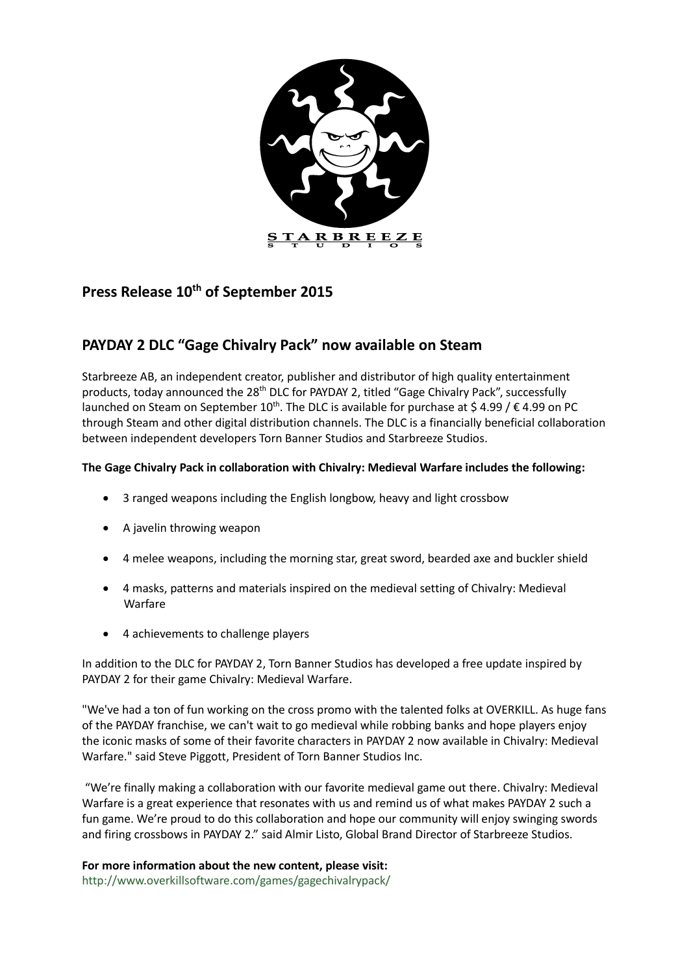

# **Press Release 10th of September 2015**

## **PAYDAY 2 DLC "Gage Chivalry Pack" now available on Steam**

Starbreeze AB, an independent creator, publisher and distributor of high quality entertainment products, today announced the 28<sup>th</sup> DLC for PAYDAY 2, titled "Gage Chivalry Pack", successfully launched on Steam on September 10<sup>th</sup>. The DLC is available for purchase at \$4.99 /  $\epsilon$ 4.99 on PC through Steam and other digital distribution channels. The DLC is a financially beneficial collaboration between independent developers Torn Banner Studios and Starbreeze Studios.

## **The Gage Chivalry Pack in collaboration with Chivalry: Medieval Warfare includes the following:**

- 3 ranged weapons including the English longbow, heavy and light crossbow
- A javelin throwing weapon
- 4 melee weapons, including the morning star, great sword, bearded axe and buckler shield
- 4 masks, patterns and materials inspired on the medieval setting of Chivalry: Medieval Warfare
- 4 achievements to challenge players

In addition to the DLC for PAYDAY 2, Torn Banner Studios has developed a free update inspired by PAYDAY 2 for their game Chivalry: Medieval Warfare.

"We've had a ton of fun working on the cross promo with the talented folks at OVERKILL. As huge fans of the PAYDAY franchise, we can't wait to go medieval while robbing banks and hope players enjoy the iconic masks of some of their favorite characters in PAYDAY 2 now available in Chivalry: Medieval Warfare." said Steve Piggott, President of Torn Banner Studios Inc.

"We're finally making a collaboration with our favorite medieval game out there. Chivalry: Medieval Warfare is a great experience that resonates with us and remind us of what makes PAYDAY 2 such a fun game. We're proud to do this collaboration and hope our community will enjoy swinging swords and firing crossbows in PAYDAY 2." said Almir Listo, Global Brand Director of Starbreeze Studios.

## **For more information about the new content, please visit:**

<http://www.overkillsoftware.com/games/gagechivalrypack/>